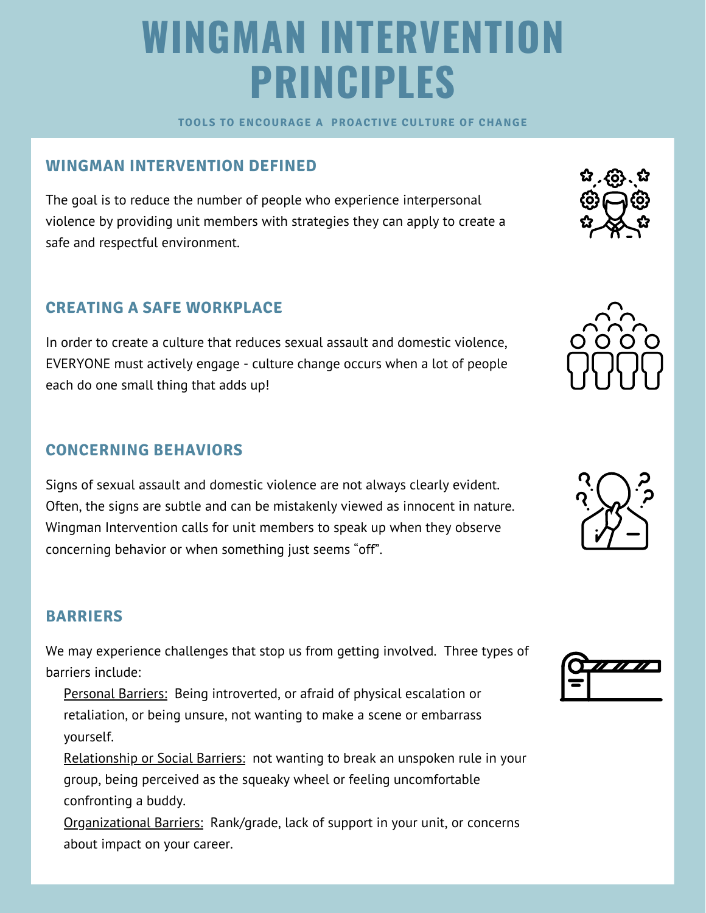# **WINGMAN INTERVENTION PRINCIPLES**

**TOOLS TO ENCOURAGE A PROACTIVE CULTURE OF CHANGE** 

# **WINGMAN INTERVENTION DEFINED**

The goal is to reduce the number of people who experience interpersonal violence by providing unit members with strategies they can apply to create a safe and respectful environment.

## **CREATING A SAFE WORKPLACE**

In order to create a culture that reduces sexual assault and domestic violence, EVERYONE must actively engage - culture change occurs when a lot of people each do one small thing that adds up!

### **CONCERNING BEHAVIORS**

Signs of sexual assault and domestic violence are not always clearly evident. Often, the signs are subtle and can be mistakenly viewed as innocent in nature. Wingman Intervention calls for unit members to speak up when they observe concerning behavior or when something just seems "off".

### **BARRIERS**

We may experience challenges that stop us from getting involved. Three types of barriers include:

Personal Barriers: Being introverted, or afraid of physical escalation or retaliation, or being unsure, not wanting to make a scene or embarrass yourself.

Relationship or Social Barriers: not wanting to break an unspoken rule in your group, being perceived as the squeaky wheel or feeling uncomfortable confronting a buddy.

Organizational Barriers: Rank/grade, lack of support in your unit, or concerns about impact on your career.